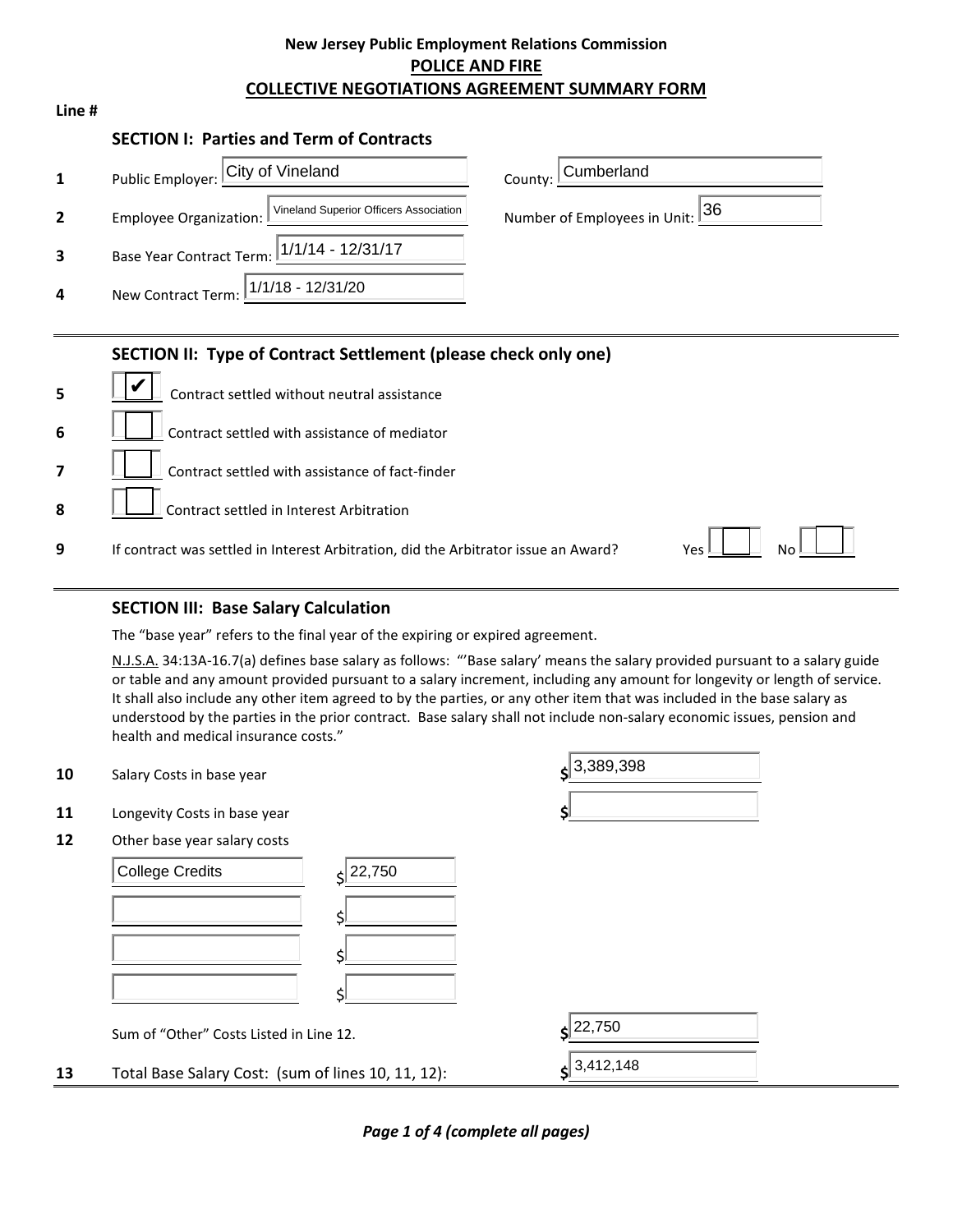### **New Jersey Public Employment Relations Commission POLICE AND FIRE COLLECTIVE NEGOTIATIONS AGREEMENT SUMMARY FORM**

| ۰. |  |
|----|--|
|----|--|

#### **SECTION I: Parties and Term of Contracts**

|                         | Public Employer: City of Vineland                                | County: Cumberland              |
|-------------------------|------------------------------------------------------------------|---------------------------------|
| $\overline{2}$          | Vineland Superior Officers Association<br>Employee Organization: | Number of Employees in Unit: 36 |
| $\overline{\mathbf{3}}$ | Base Year Contract Term: 1/1/14 - 12/31/17                       |                                 |
| 4                       | New Contract Term: 1/1/18 - 12/31/20                             |                                 |

#### **SECTION II: Type of Contract Settlement (please check only one)**

| $\overline{5}$          | Contract settled without neutral assistance                                         |                 |
|-------------------------|-------------------------------------------------------------------------------------|-----------------|
| $6 \overline{6}$        | Contract settled with assistance of mediator                                        |                 |
|                         | Contract settled with assistance of fact-finder                                     |                 |
| $\overline{\mathbf{8}}$ | $\Box$ Contract settled in Interest Arbitration                                     |                 |
| 9                       | If contract was settled in Interest Arbitration, did the Arbitrator issue an Award? | Yes $\mathbb L$ |

### **SECTION III: Base Salary Calculation**

The "base year" refers to the final year of the expiring or expired agreement.

N.J.S.A. 34:13A-16.7(a) defines base salary as follows: "'Base salary' means the salary provided pursuant to a salary guide or table and any amount provided pursuant to a salary increment, including any amount for longevity or length of service. It shall also include any other item agreed to by the parties, or any other item that was included in the base salary as understood by the parties in the prior contract. Base salary shall not include non-salary economic issues, pension and health and medical insurance costs."

| 10 | Salary Costs in base year                          |        | $s^{3,389,398}$         |
|----|----------------------------------------------------|--------|-------------------------|
| 11 | Longevity Costs in base year                       |        |                         |
| 12 | Other base year salary costs                       |        |                         |
|    | <b>College Credits</b>                             | 22,750 |                         |
|    |                                                    |        |                         |
|    |                                                    |        |                         |
|    |                                                    |        |                         |
|    | Sum of "Other" Costs Listed in Line 12.            |        | 22,750                  |
| 13 | Total Base Salary Cost: (sum of lines 10, 11, 12): |        | $\frac{1}{5}$ 3,412,148 |

*Page 1 of 4 (complete all pages)*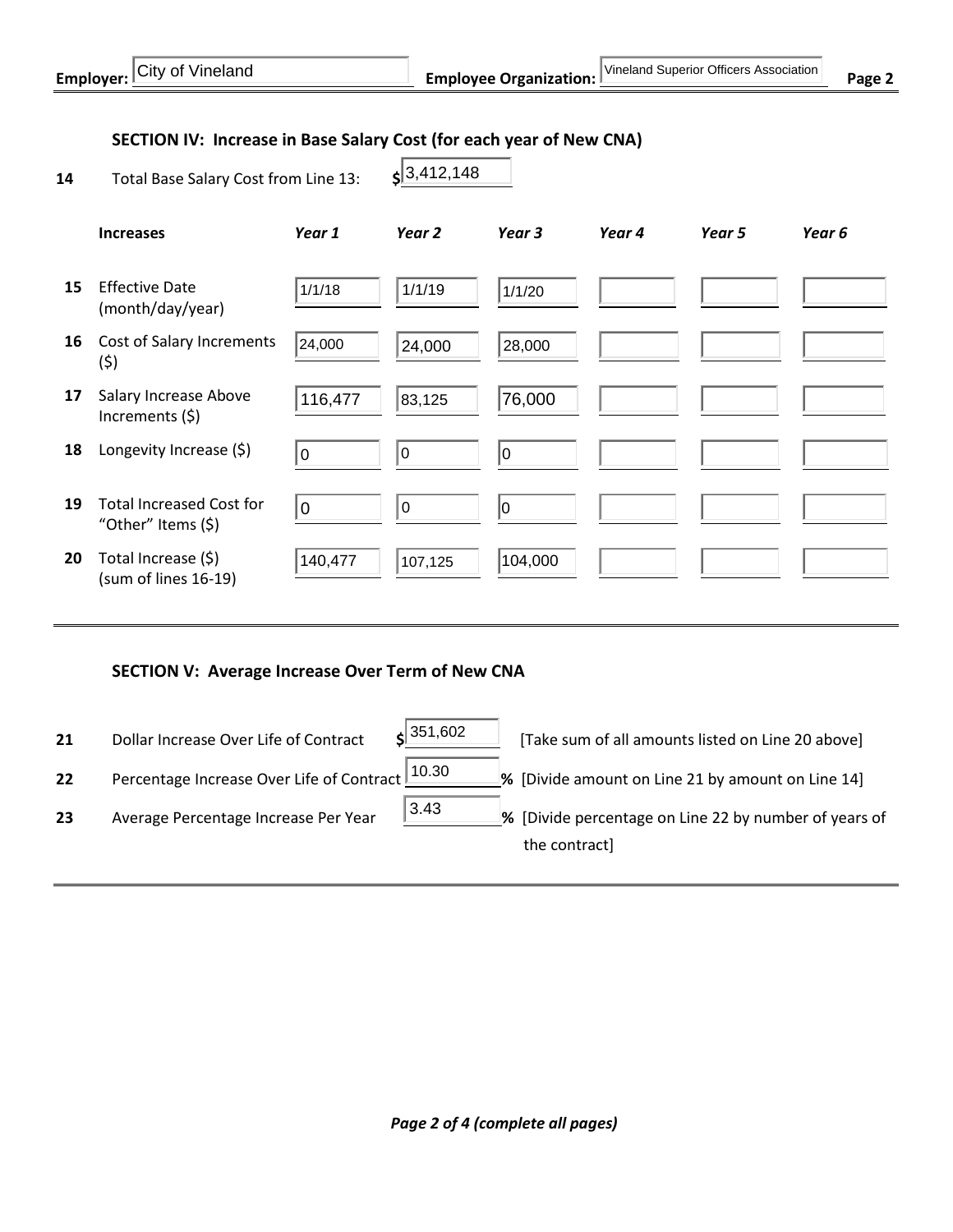### **SECTION IV: Increase in Base Salary Cost (for each year of New CNA)**

| Total Base Salary Cost from Line 13:<br>14 |  |  |
|--------------------------------------------|--|--|
|--------------------------------------------|--|--|

| '3,412,148 |  |
|------------|--|
|            |  |

|    | <b>Increases</b>                                      | Year 1  | Year <sub>2</sub> | Year 3  | Year 4 | Year 5 | Year 6 |
|----|-------------------------------------------------------|---------|-------------------|---------|--------|--------|--------|
| 15 | <b>Effective Date</b><br>(month/day/year)             | 1/1/18  | 1/1/19            | 1/1/20  |        |        |        |
| 16 | Cost of Salary Increments<br>(\$)                     | 24,000  | 24,000            | 28,000  |        |        |        |
| 17 | Salary Increase Above<br>Increments (\$)              | 116,477 | 83,125            | 76,000  |        |        |        |
| 18 | Longevity Increase (\$)                               | I٥      | l0                | 0       |        |        |        |
| 19 | <b>Total Increased Cost for</b><br>"Other" Items (\$) | 0       | 0                 | 10      |        |        |        |
| 20 | Total Increase (\$)<br>(sum of lines 16-19)           | 140,477 | 107,125           | 104,000 |        |        |        |

 $s$ 351,602

3.43

#### **SECTION V: Average Increase Over Term of New CNA**

- **21** Dollar Increase Over Life of Contract  $\frac{\sin 351,602}{\sin 602}$  [Take sum of all amounts listed on Line 20 above]
- **22** Percentage Increase Over Life of Contract  $\frac{10.30}{2}$  % [Divide amount on Line 21 by amount on Line 14]  $10.30$
- 
- 
- 23 Average Percentage Increase Per Year **19.43** [Divide percentage on Line 22 by number of years of the contract]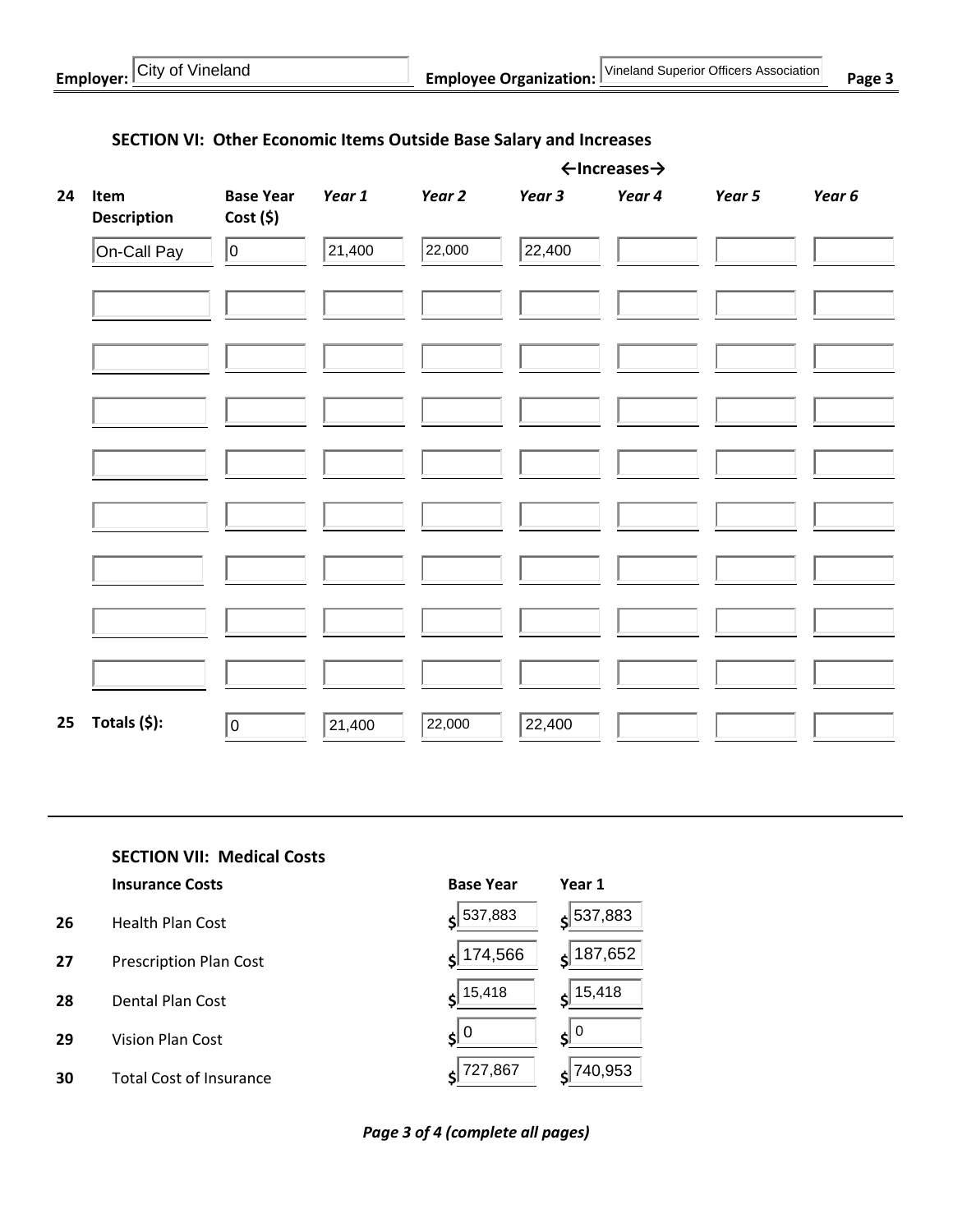|    |                            |                             |        |        |        | $\leftarrow$ Increases $\rightarrow$ |        |        |
|----|----------------------------|-----------------------------|--------|--------|--------|--------------------------------------|--------|--------|
| 24 | Item<br><b>Description</b> | <b>Base Year</b><br>Cost(5) | Year 1 | Year 2 | Year 3 | Year 4                               | Year 5 | Year 6 |
|    | On-Call Pay                | 10                          | 21,400 | 22,000 | 22,400 |                                      |        |        |
|    |                            |                             |        |        |        |                                      |        |        |
|    |                            |                             |        |        |        |                                      |        |        |
|    |                            |                             |        |        |        |                                      |        |        |
|    |                            |                             |        |        |        |                                      |        |        |
|    |                            |                             |        |        |        |                                      |        |        |
|    |                            |                             |        |        |        |                                      |        |        |
|    |                            |                             |        |        |        |                                      |        |        |
|    |                            |                             |        |        |        |                                      |        |        |
| 25 | Totals (\$):               | $\overline{0}$              | 21,400 | 22,000 | 22,400 |                                      |        |        |

# **SECTION VI: Other Economic Items Outside Base Salary and Increases**

**SECTION VII: Medical Costs**

| <b>Insurance Costs</b> |  |
|------------------------|--|
|------------------------|--|

- **26** Health Plan Cost **\$ \$**
- **27** Prescription Plan Cost **\$ \$**
- **28** Dental Plan Cost **\$ \$**
- **29** Vision Plan Cost **\$ \$**
- **30** Total Cost of Insurance **\$ \$**

| <b>Insurance Costs</b>         | <b>Base Year</b>      | Year 1                    |
|--------------------------------|-----------------------|---------------------------|
| Health Plan Cost               | 537,883               | $\zeta$ 537,883           |
| <b>Prescription Plan Cost</b>  | 174,566               | 187,652                   |
| Dental Plan Cost               | $s$ <sup>15,418</sup> | $\frac{15,418}{ }$        |
| Vision Plan Cost               | 0  ی                  | $\mathbf{s}$ $\mathbf{0}$ |
| <b>Total Cost of Insurance</b> | 727,867               | $s$ 740,953               |

*Page 3 of 4 (complete all pages)*